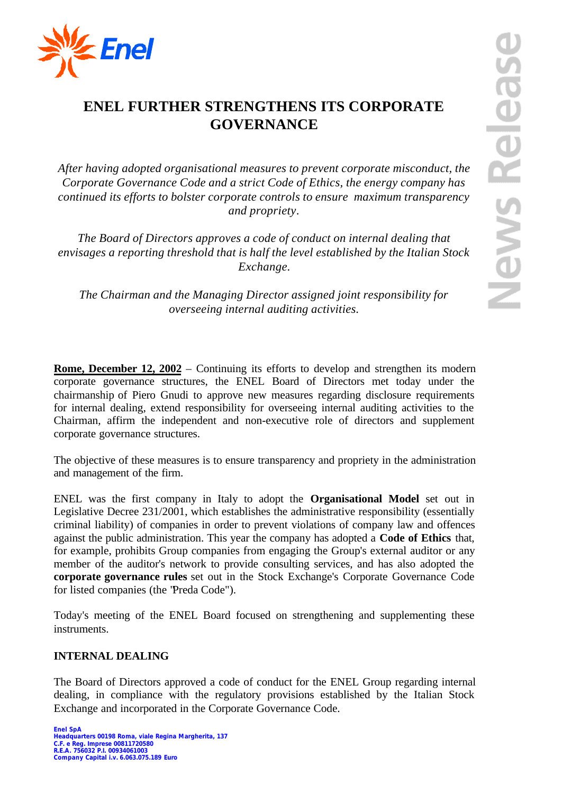

# **ENEL FURTHER STRENGTHENS ITS CORPORATE GOVERNANCE**

*After having adopted organisational measures to prevent corporate misconduct, the Corporate Governance Code and a strict Code of Ethics, the energy company has continued its efforts to bolster corporate controls to ensure maximum transparency and propriety*.

*The Board of Directors approves a code of conduct on internal dealing that envisages a reporting threshold that is half the level established by the Italian Stock Exchange.*

*The Chairman and the Managing Director assigned joint responsibility for overseeing internal auditing activities.*

**Rome, December 12, 2002** – Continuing its efforts to develop and strengthen its modern corporate governance structures, the ENEL Board of Directors met today under the chairmanship of Piero Gnudi to approve new measures regarding disclosure requirements for internal dealing, extend responsibility for overseeing internal auditing activities to the Chairman, affirm the independent and non-executive role of directors and supplement corporate governance structures.

The objective of these measures is to ensure transparency and propriety in the administration and management of the firm.

ENEL was the first company in Italy to adopt the **Organisational Model** set out in Legislative Decree 231/2001, which establishes the administrative responsibility (essentially criminal liability) of companies in order to prevent violations of company law and offences against the public administration. This year the company has adopted a **Code of Ethics** that, for example, prohibits Group companies from engaging the Group's external auditor or any member of the auditor's network to provide consulting services, and has also adopted the **corporate governance rules** set out in the Stock Exchange's Corporate Governance Code for listed companies (the "Preda Code").

Today's meeting of the ENEL Board focused on strengthening and supplementing these instruments.

### **INTERNAL DEALING**

The Board of Directors approved a code of conduct for the ENEL Group regarding internal dealing, in compliance with the regulatory provisions established by the Italian Stock Exchange and incorporated in the Corporate Governance Code.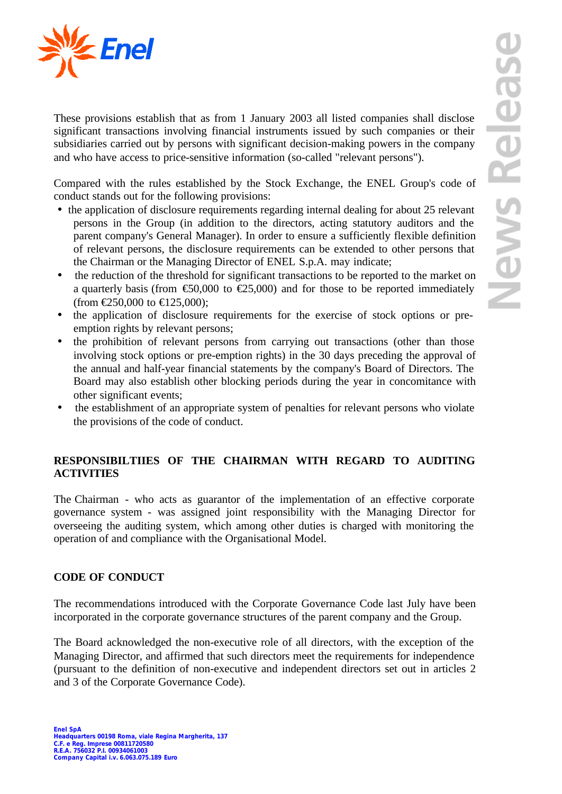

These provisions establish that as from 1 January 2003 all listed companies shall disclose significant transactions involving financial instruments issued by such companies or their subsidiaries carried out by persons with significant decision-making powers in the company and who have access to price-sensitive information (so-called "relevant persons").

Compared with the rules established by the Stock Exchange, the ENEL Group's code of conduct stands out for the following provisions:

- the application of disclosure requirements regarding internal dealing for about 25 relevant persons in the Group (in addition to the directors, acting statutory auditors and the parent company's General Manager). In order to ensure a sufficiently flexible definition of relevant persons, the disclosure requirements can be extended to other persons that the Chairman or the Managing Director of ENEL S.p.A. may indicate;
- the reduction of the threshold for significant transactions to be reported to the market on a quarterly basis (from  $\epsilon$ 50,000 to  $\epsilon$ 25,000) and for those to be reported immediately (from  $\text{\textsterling}250,000$  to  $\text{\textsterling}125,000$ );
- the application of disclosure requirements for the exercise of stock options or preemption rights by relevant persons;
- the prohibition of relevant persons from carrying out transactions (other than those involving stock options or pre-emption rights) in the 30 days preceding the approval of the annual and half-year financial statements by the company's Board of Directors. The Board may also establish other blocking periods during the year in concomitance with other significant events;
- the establishment of an appropriate system of penalties for relevant persons who violate the provisions of the code of conduct.

## **RESPONSIBILTIIES OF THE CHAIRMAN WITH REGARD TO AUDITING ACTIVITIES**

The Chairman - who acts as guarantor of the implementation of an effective corporate governance system - was assigned joint responsibility with the Managing Director for overseeing the auditing system, which among other duties is charged with monitoring the operation of and compliance with the Organisational Model.

### **CODE OF CONDUCT**

The recommendations introduced with the Corporate Governance Code last July have been incorporated in the corporate governance structures of the parent company and the Group.

The Board acknowledged the non-executive role of all directors, with the exception of the Managing Director, and affirmed that such directors meet the requirements for independence (pursuant to the definition of non-executive and independent directors set out in articles 2 and 3 of the Corporate Governance Code).